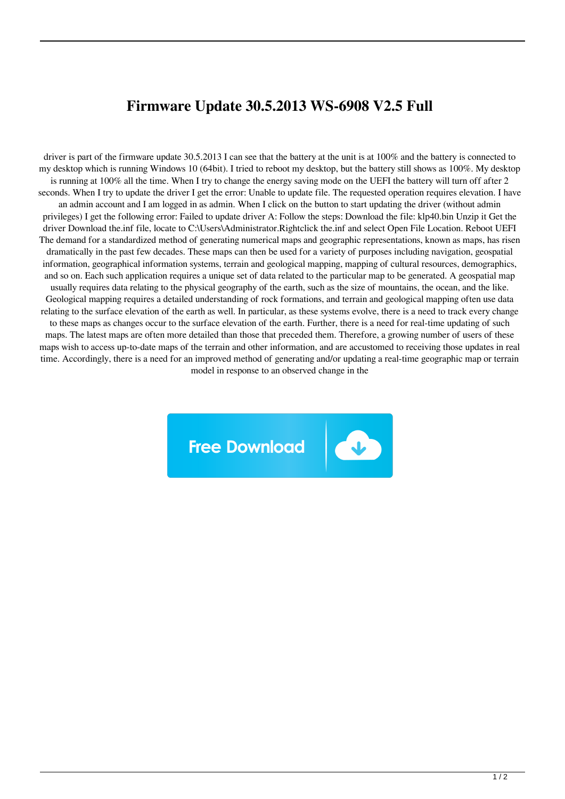## **Firmware Update 30.5.2013 WS-6908 V2.5 Full**

driver is part of the firmware update 30.5.2013 I can see that the battery at the unit is at 100% and the battery is connected to my desktop which is running Windows 10 (64bit). I tried to reboot my desktop, but the battery still shows as 100%. My desktop is running at 100% all the time. When I try to change the energy saving mode on the UEFI the battery will turn off after 2 seconds. When I try to update the driver I get the error: Unable to update file. The requested operation requires elevation. I have an admin account and I am logged in as admin. When I click on the button to start updating the driver (without admin privileges) I get the following error: Failed to update driver A: Follow the steps: Download the file: klp40.bin Unzip it Get the driver Download the.inf file, locate to C:\Users\Administrator.Rightclick the.inf and select Open File Location. Reboot UEFI The demand for a standardized method of generating numerical maps and geographic representations, known as maps, has risen dramatically in the past few decades. These maps can then be used for a variety of purposes including navigation, geospatial information, geographical information systems, terrain and geological mapping, mapping of cultural resources, demographics, and so on. Each such application requires a unique set of data related to the particular map to be generated. A geospatial map usually requires data relating to the physical geography of the earth, such as the size of mountains, the ocean, and the like. Geological mapping requires a detailed understanding of rock formations, and terrain and geological mapping often use data relating to the surface elevation of the earth as well. In particular, as these systems evolve, there is a need to track every change to these maps as changes occur to the surface elevation of the earth. Further, there is a need for real-time updating of such maps. The latest maps are often more detailed than those that preceded them. Therefore, a growing number of users of these maps wish to access up-to-date maps of the terrain and other information, and are accustomed to receiving those updates in real time. Accordingly, there is a need for an improved method of generating and/or updating a real-time geographic map or terrain model in response to an observed change in the

**Free Download**